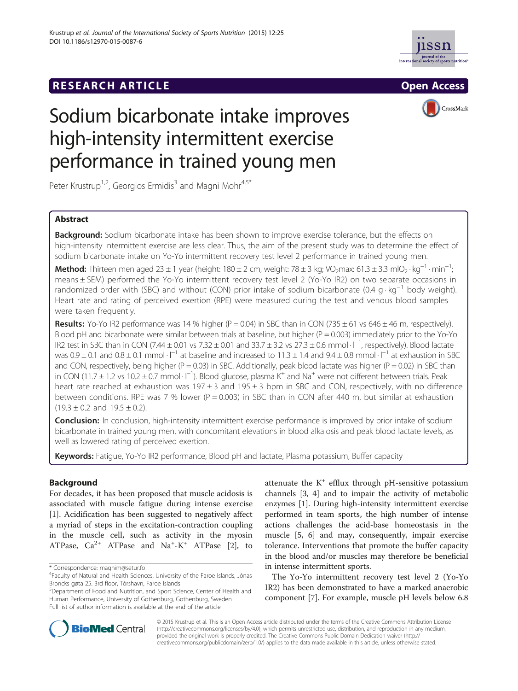## **RESEARCH ARTICLE Example 2014 12:30 THE Open Access**





# Sodium bicarbonate intake improves high-intensity intermittent exercise performance in trained young men

Peter Krustrup<sup>1,2</sup>, Georgios Ermidis<sup>3</sup> and Magni Mohr<sup>4,5\*</sup>

## Abstract

Background: Sodium bicarbonate intake has been shown to improve exercise tolerance, but the effects on high-intensity intermittent exercise are less clear. Thus, the aim of the present study was to determine the effect of sodium bicarbonate intake on Yo-Yo intermittent recovery test level 2 performance in trained young men.

Method: Thirteen men aged 23 ± 1 year (height: 180 ± 2 cm, weight: 78 ± 3 kg; VO<sub>2</sub>max: 61.3 ± 3.3 mlO<sub>2</sub> · kg<sup>-1</sup> · min<sup>-1</sup>; ; means ± SEM) performed the Yo-Yo intermittent recovery test level 2 (Yo-Yo IR2) on two separate occasions in randomized order with (SBC) and without (CON) prior intake of sodium bicarbonate (0.4 g · kg<sup>-1</sup> body weight). Heart rate and rating of perceived exertion (RPE) were measured during the test and venous blood samples were taken frequently.

Results: Yo-Yo IR2 performance was 14 % higher  $(P = 0.04)$  in SBC than in CON (735  $\pm$  61 vs 646  $\pm$  46 m, respectively). Blood pH and bicarbonate were similar between trials at baseline, but higher ( $P = 0.003$ ) immediately prior to the Yo-Yo IR2 test in SBC than in CON (7.44 ± 0.01 vs 7.32 ± 0.01 and 33.7 ± 3.2 vs 27.3 ± 0.6 mmol · l−<sup>1</sup> , respectively). Blood lactate was  $0.9 \pm 0.1$  and  $0.8 \pm 0.1$  mmol $\cdot$  l<sup>-1</sup> at baseline and increased to 11.3  $\pm$  1.4 and  $9.4 \pm 0.8$  mmol $\cdot$  l<sup>-1</sup> at exhaustion in SBC and CON, respectively, being higher ( $P = 0.03$ ) in SBC. Additionally, peak blood lactate was higher ( $P = 0.02$ ) in SBC than in CON (11.7 ± 1.2 vs 10.2 ± 0.7 mmol · l−<sup>1</sup> ). Blood glucose, plasma K+ and Na+ were not different between trials. Peak heart rate reached at exhaustion was  $197 \pm 3$  and  $195 \pm 3$  bpm in SBC and CON, respectively, with no difference between conditions. RPE was 7 % lower (P = 0.003) in SBC than in CON after 440 m, but similar at exhaustion  $(19.3 \pm 0.2 \text{ and } 19.5 \pm 0.2).$ 

Conclusion: In conclusion, high-intensity intermittent exercise performance is improved by prior intake of sodium bicarbonate in trained young men, with concomitant elevations in blood alkalosis and peak blood lactate levels, as well as lowered rating of perceived exertion.

Keywords: Fatigue, Yo-Yo IR2 performance, Blood pH and lactate, Plasma potassium, Buffer capacity

## Background

For decades, it has been proposed that muscle acidosis is associated with muscle fatigue during intense exercise [[1\]](#page-6-0). Acidification has been suggested to negatively affect a myriad of steps in the excitation-contraction coupling in the muscle cell, such as activity in the myosin ATPase,  $Ca^{2+}$  ATPase and  $Na^+ - K^+$  ATPase [[2\]](#page-6-0), to

5 Department of Food and Nutrition, and Sport Science, Center of Health and Human Performance, University of Gothenburg, Gothenburg, Sweden Full list of author information is available at the end of the article

attenuate the  $K^+$  efflux through pH-sensitive potassium channels [\[3, 4](#page-6-0)] and to impair the activity of metabolic enzymes [[1](#page-6-0)]. During high-intensity intermittent exercise performed in team sports, the high number of intense actions challenges the acid-base homeostasis in the muscle [[5, 6](#page-6-0)] and may, consequently, impair exercise tolerance. Interventions that promote the buffer capacity in the blood and/or muscles may therefore be beneficial in intense intermittent sports.

The Yo-Yo intermittent recovery test level 2 (Yo-Yo IR2) has been demonstrated to have a marked anaerobic component [\[7](#page-6-0)]. For example, muscle pH levels below 6.8



© 2015 Krustrup et al. This is an Open Access article distributed under the terms of the Creative Commons Attribution License [\(http://creativecommons.org/licenses/by/4.0\)](http://creativecommons.org/licenses/by/4.0), which permits unrestricted use, distribution, and reproduction in any medium, provided the original work is properly credited. The Creative Commons Public Domain Dedication waiver [\(http://](http://creativecommons.org/publicdomain/zero/1.0/) [creativecommons.org/publicdomain/zero/1.0/\)](http://creativecommons.org/publicdomain/zero/1.0/) applies to the data made available in this article, unless otherwise stated.

<sup>\*</sup> Correspondence: [magnim@setur.fo](mailto:magnim@setur.fo) <sup>4</sup>

<sup>&</sup>lt;sup>4</sup>Faculty of Natural and Health Sciences, University of the Faroe Islands, Jónas Broncks gøta 25. 3rd floor, Tórshavn, Faroe Islands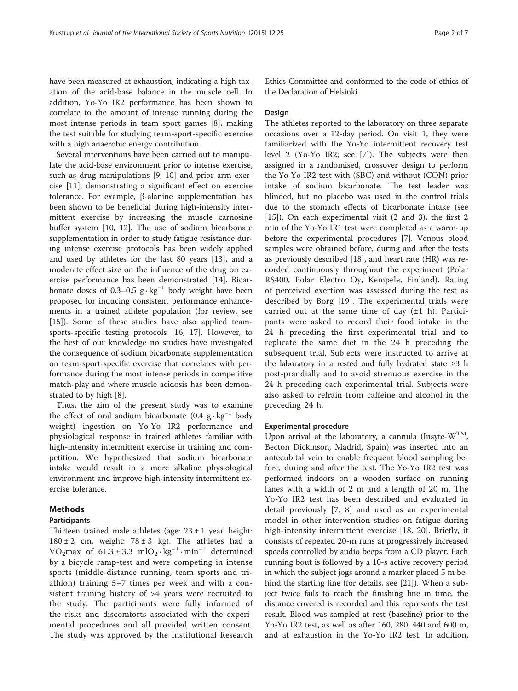have been measured at exhaustion, indicating a high taxation of the acid-base balance in the muscle cell. In addition, Yo-Yo IR2 performance has been shown to correlate to the amount of intense running during the most intense periods in team sport games [[8\]](#page-6-0), making the test suitable for studying team-sport-specific exercise with a high anaerobic energy contribution.

Several interventions have been carried out to manipulate the acid-base environment prior to intense exercise, such as drug manipulations [\[9](#page-6-0), [10\]](#page-6-0) and prior arm exercise [\[11](#page-6-0)], demonstrating a significant effect on exercise tolerance. For example, β-alanine supplementation has been shown to be beneficial during high-intensity intermittent exercise by increasing the muscle carnosine buffer system [[10, 12](#page-6-0)]. The use of sodium bicarbonate supplementation in order to study fatigue resistance during intense exercise protocols has been widely applied and used by athletes for the last 80 years [\[13](#page-6-0)], and a moderate effect size on the influence of the drug on exercise performance has been demonstrated [[14](#page-6-0)]. Bicarbonate doses of 0.3–0.5 g · kg−<sup>1</sup> body weight have been proposed for inducing consistent performance enhancements in a trained athlete population (for review, see [[15\]](#page-6-0)). Some of these studies have also applied teamsports-specific testing protocols [[16](#page-6-0), [17\]](#page-6-0). However, to the best of our knowledge no studies have investigated the consequence of sodium bicarbonate supplementation on team-sport-specific exercise that correlates with performance during the most intense periods in competitive match-play and where muscle acidosis has been demonstrated to by high [\[8](#page-6-0)].

Thus, the aim of the present study was to examine the effect of oral sodium bicarbonate (0.4  $g \cdot kg^{-1}$  body weight) ingestion on Yo-Yo IR2 performance and physiological response in trained athletes familiar with high-intensity intermittent exercise in training and competition. We hypothesized that sodium bicarbonate intake would result in a more alkaline physiological environment and improve high-intensity intermittent exercise tolerance.

## Methods

## Participants

Thirteen trained male athletes (age:  $23 \pm 1$  year, height:  $180 \pm 2$  cm, weight:  $78 \pm 3$  kg). The athletes had a VO<sub>2</sub>max of 61.3 ± 3.3 mlO<sub>2</sub> · kg<sup>-1</sup> · min<sup>-1</sup> determined by a bicycle ramp-test and were competing in intense sports (middle-distance running, team sports and triathlon) training 5–7 times per week and with a consistent training history of >4 years were recruited to the study. The participants were fully informed of the risks and discomforts associated with the experimental procedures and all provided written consent. The study was approved by the Institutional Research Ethics Committee and conformed to the code of ethics of the Declaration of Helsinki.

## Design

The athletes reported to the laboratory on three separate occasions over a 12-day period. On visit 1, they were familiarized with the Yo-Yo intermittent recovery test level 2 (Yo-Yo IR2; see [[7\]](#page-6-0)). The subjects were then assigned in a randomised, crossover design to perform the Yo-Yo IR2 test with (SBC) and without (CON) prior intake of sodium bicarbonate. The test leader was blinded, but no placebo was used in the control trials due to the stomach effects of bicarbonate intake (see [[15\]](#page-6-0)). On each experimental visit (2 and 3), the first 2 min of the Yo-Yo IR1 test were completed as a warm-up before the experimental procedures [[7](#page-6-0)]. Venous blood samples were obtained before, during and after the tests as previously described [\[18\]](#page-6-0), and heart rate (HR) was recorded continuously throughout the experiment (Polar RS400, Polar Electro Oy, Kempele, Finland). Rating of perceived exertion was assessed during the test as described by Borg [[19\]](#page-6-0). The experimental trials were carried out at the same time of day  $(\pm 1$  h). Participants were asked to record their food intake in the 24 h preceding the first experimental trial and to replicate the same diet in the 24 h preceding the subsequent trial. Subjects were instructed to arrive at the laboratory in a rested and fully hydrated state ≥3 h post-prandially and to avoid strenuous exercise in the 24 h preceding each experimental trial. Subjects were also asked to refrain from caffeine and alcohol in the preceding 24 h.

#### Experimental procedure

Upon arrival at the laboratory, a cannula (Insyte- $W^{TM}$ , Becton Dickinson, Madrid, Spain) was inserted into an antecubital vein to enable frequent blood sampling before, during and after the test. The Yo-Yo IR2 test was performed indoors on a wooden surface on running lanes with a width of 2 m and a length of 20 m. The Yo-Yo IR2 test has been described and evaluated in detail previously [\[7](#page-6-0), [8\]](#page-6-0) and used as an experimental model in other intervention studies on fatigue during high-intensity intermittent exercise [[18](#page-6-0), [20\]](#page-6-0). Briefly, it consists of repeated 20-m runs at progressively increased speeds controlled by audio beeps from a CD player. Each running bout is followed by a 10-s active recovery period in which the subject jogs around a marker placed 5 m behind the starting line (for details, see [\[21](#page-6-0)]). When a subject twice fails to reach the finishing line in time, the distance covered is recorded and this represents the test result. Blood was sampled at rest (baseline) prior to the Yo-Yo IR2 test, as well as after 160, 280, 440 and 600 m, and at exhaustion in the Yo-Yo IR2 test. In addition,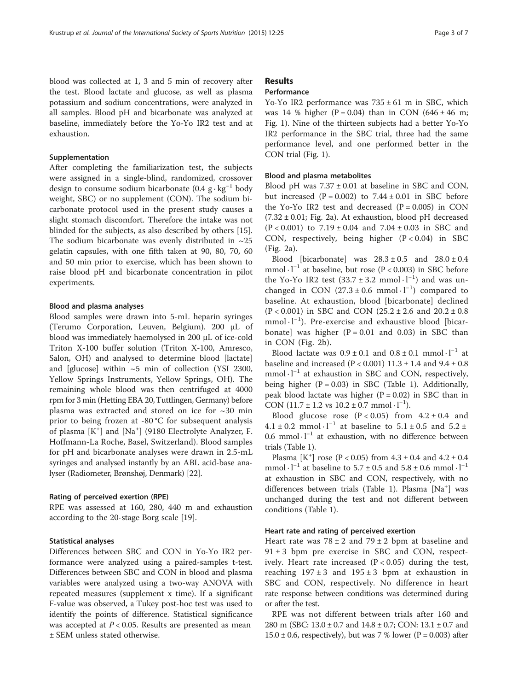blood was collected at 1, 3 and 5 min of recovery after the test. Blood lactate and glucose, as well as plasma potassium and sodium concentrations, were analyzed in all samples. Blood pH and bicarbonate was analyzed at baseline, immediately before the Yo-Yo IR2 test and at exhaustion.

## Supplementation

After completing the familiarization test, the subjects were assigned in a single-blind, randomized, crossover design to consume sodium bicarbonate  $(0.4 \text{ g} \cdot \text{kg}^{-1} \text{ body})$ weight, SBC) or no supplement (CON). The sodium bicarbonate protocol used in the present study causes a slight stomach discomfort. Therefore the intake was not blinded for the subjects, as also described by others [\[15](#page-6-0)]. The sodium bicarbonate was evenly distributed in  $\sim$ 25 gelatin capsules, with one fifth taken at 90, 80, 70, 60 and 50 min prior to exercise, which has been shown to raise blood pH and bicarbonate concentration in pilot experiments.

## Blood and plasma analyses

Blood samples were drawn into 5-mL heparin syringes (Terumo Corporation, Leuven, Belgium). 200 μL of blood was immediately haemolysed in 200 μL of ice-cold Triton X-100 buffer solution (Triton X-100, Amresco, Salon, OH) and analysed to determine blood [lactate] and [glucose] within  $\sim$  5 min of collection (YSI 2300, Yellow Springs Instruments, Yellow Springs, OH). The remaining whole blood was then centrifuged at 4000 rpm for 3 min (Hetting EBA 20,Tuttlingen, Germany) before plasma was extracted and stored on ice for ~30 min prior to being frozen at -80 °C for subsequent analysis of plasma [K<sup>+</sup>] and [Na<sup>+</sup>] (9180 Electrolyte Analyzer, F. Hoffmann-La Roche, Basel, Switzerland). Blood samples for pH and bicarbonate analyses were drawn in 2.5-mL syringes and analysed instantly by an ABL acid-base analyser (Radiometer, Brønshøj, Denmark) [[22](#page-6-0)].

## Rating of perceived exertion (RPE)

RPE was assessed at 160, 280, 440 m and exhaustion according to the 20-stage Borg scale [\[19](#page-6-0)].

## Statistical analyses

Differences between SBC and CON in Yo-Yo IR2 performance were analyzed using a paired-samples t-test. Differences between SBC and CON in blood and plasma variables were analyzed using a two-way ANOVA with repeated measures (supplement x time). If a significant F-value was observed, a Tukey post-hoc test was used to identify the points of difference. Statistical significance was accepted at  $P < 0.05$ . Results are presented as mean ± SEM unless stated otherwise.

## **Results**

## **Performance**

Yo-Yo IR2 performance was  $735 \pm 61$  m in SBC, which was 14 % higher (P = 0.04) than in CON (646 ± 46 m; Fig. [1\)](#page-3-0). Nine of the thirteen subjects had a better Yo-Yo IR2 performance in the SBC trial, three had the same performance level, and one performed better in the CON trial (Fig. [1](#page-3-0)).

## Blood and plasma metabolites

Blood pH was  $7.37 \pm 0.01$  at baseline in SBC and CON, but increased  $(P = 0.002)$  to  $7.44 \pm 0.01$  in SBC before the Yo-Yo IR2 test and decreased  $(P = 0.005)$  in CON (7.32 ± 0.01; Fig. [2a](#page-4-0)). At exhaustion, blood pH decreased  $(P < 0.001)$  to  $7.19 \pm 0.04$  and  $7.04 \pm 0.03$  in SBC and CON, respectively, being higher  $(P < 0.04)$  in SBC (Fig. [2](#page-4-0)a).

Blood [bicarbonate] was  $28.3 \pm 0.5$  and  $28.0 \pm 0.4$ mmol · l−<sup>1</sup> at baseline, but rose (P < 0.003) in SBC before the Yo-Yo IR2 test  $(33.7 \pm 3.2 \text{ mmol} \cdot l^{-1})$  and was unchanged in CON  $(27.3 \pm 0.6 \text{ mmol} \cdot l^{-1})$  compared to baseline. At exhaustion, blood [bicarbonate] declined  $(P < 0.001)$  in SBC and CON  $(25.2 \pm 2.6$  and  $20.2 \pm 0.8$ mmol · l<sup>-1</sup>). Pre-exercise and exhaustive blood [bicarbonate] was higher  $(P = 0.01$  and 0.03) in SBC than in CON (Fig. [2](#page-4-0)b).

Blood lactate was  $0.9 \pm 0.1$  and  $0.8 \pm 0.1$  mmol  $\cdot$  l<sup>-1</sup> at baseline and increased ( $P < 0.001$ )  $11.3 \pm 1.4$  and  $9.4 \pm 0.8$ mmol · l<sup>-1</sup> at exhaustion in SBC and CON, respectively, being higher  $(P = 0.03)$  in SBC (Table [1](#page-5-0)). Additionally, peak blood lactate was higher  $(P = 0.02)$  in SBC than in CON  $(11.7 \pm 1.2 \text{ vs } 10.2 \pm 0.7 \text{ mmol} \cdot \text{I}^{-1})$ .

Blood glucose rose  $(P < 0.05)$  from  $4.2 \pm 0.4$  and  $4.1 \pm 0.2$  mmol $\cdot$ l<sup>-1</sup> at baseline to  $5.1 \pm 0.5$  and  $5.2 \pm 1.5$ 0.6 mmol · l−<sup>1</sup> at exhaustion, with no difference between trials (Table [1](#page-5-0)).

Plasma [K<sup>+</sup>] rose (P < 0.05) from  $4.3 \pm 0.4$  and  $4.2 \pm 0.4$ mmol  $\cdot$  l<sup>−1</sup> at baseline to 5.7 ± 0.5 and 5.8 ± 0.6 mmol  $\cdot$  l<sup>−1</sup> at exhaustion in SBC and CON, respectively, with no differences between trials (Table [1](#page-5-0)). Plasma [Na<sup>+</sup>] was unchanged during the test and not different between conditions (Table [1\)](#page-5-0).

## Heart rate and rating of perceived exertion

Heart rate was  $78 \pm 2$  and  $79 \pm 2$  bpm at baseline and  $91 \pm 3$  bpm pre exercise in SBC and CON, respectively. Heart rate increased  $(P < 0.05)$  during the test, reaching  $197 \pm 3$  and  $195 \pm 3$  bpm at exhaustion in SBC and CON, respectively. No difference in heart rate response between conditions was determined during or after the test.

RPE was not different between trials after 160 and 280 m (SBC: 13.0 ± 0.7 and 14.8 ± 0.7; CON: 13.1 ± 0.7 and  $15.0 \pm 0.6$ , respectively), but was 7 % lower (P = 0.003) after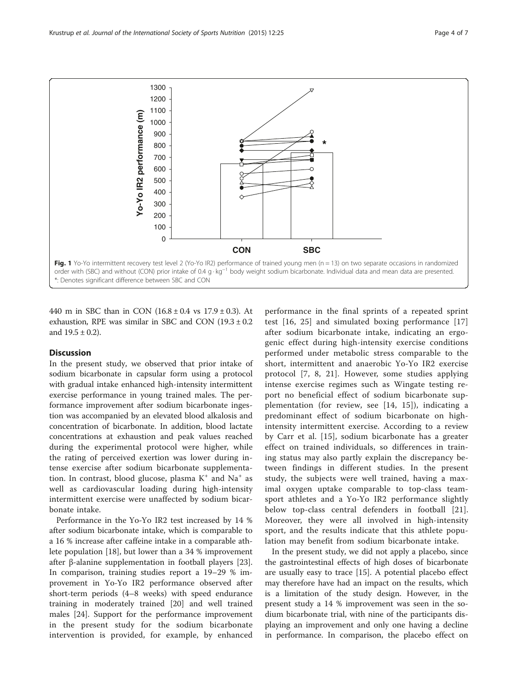<span id="page-3-0"></span>

\*: Denotes significant difference between SBC and CON

440 m in SBC than in CON  $(16.8 \pm 0.4 \text{ vs } 17.9 \pm 0.3)$ . At exhaustion, RPE was similar in SBC and CON  $(19.3 \pm 0.2)$ and  $19.5 \pm 0.2$ ).

## **Discussion**

In the present study, we observed that prior intake of sodium bicarbonate in capsular form using a protocol with gradual intake enhanced high-intensity intermittent exercise performance in young trained males. The performance improvement after sodium bicarbonate ingestion was accompanied by an elevated blood alkalosis and concentration of bicarbonate. In addition, blood lactate concentrations at exhaustion and peak values reached during the experimental protocol were higher, while the rating of perceived exertion was lower during intense exercise after sodium bicarbonate supplementation. In contrast, blood glucose, plasma  $K^+$  and  $Na^+$  as well as cardiovascular loading during high-intensity intermittent exercise were unaffected by sodium bicarbonate intake.

Performance in the Yo-Yo IR2 test increased by 14 % after sodium bicarbonate intake, which is comparable to a 16 % increase after caffeine intake in a comparable athlete population [\[18](#page-6-0)], but lower than a 34 % improvement after β-alanine supplementation in football players [\[23](#page-6-0)]. In comparison, training studies report a 19–29 % improvement in Yo-Yo IR2 performance observed after short-term periods (4–8 weeks) with speed endurance training in moderately trained [[20\]](#page-6-0) and well trained males [[24\]](#page-6-0). Support for the performance improvement in the present study for the sodium bicarbonate intervention is provided, for example, by enhanced

performance in the final sprints of a repeated sprint test [[16](#page-6-0), [25\]](#page-6-0) and simulated boxing performance [\[17](#page-6-0)] after sodium bicarbonate intake, indicating an ergogenic effect during high-intensity exercise conditions performed under metabolic stress comparable to the short, intermittent and anaerobic Yo-Yo IR2 exercise protocol [[7](#page-6-0), [8, 21\]](#page-6-0). However, some studies applying intense exercise regimes such as Wingate testing report no beneficial effect of sodium bicarbonate supplementation (for review, see [[14](#page-6-0), [15](#page-6-0)]), indicating a predominant effect of sodium bicarbonate on highintensity intermittent exercise. According to a review by Carr et al. [[15](#page-6-0)], sodium bicarbonate has a greater effect on trained individuals, so differences in training status may also partly explain the discrepancy between findings in different studies. In the present study, the subjects were well trained, having a maximal oxygen uptake comparable to top-class teamsport athletes and a Yo-Yo IR2 performance slightly below top-class central defenders in football [[21](#page-6-0)]. Moreover, they were all involved in high-intensity sport, and the results indicate that this athlete population may benefit from sodium bicarbonate intake.

In the present study, we did not apply a placebo, since the gastrointestinal effects of high doses of bicarbonate are usually easy to trace [\[15](#page-6-0)]. A potential placebo effect may therefore have had an impact on the results, which is a limitation of the study design. However, in the present study a 14 % improvement was seen in the sodium bicarbonate trial, with nine of the participants displaying an improvement and only one having a decline in performance. In comparison, the placebo effect on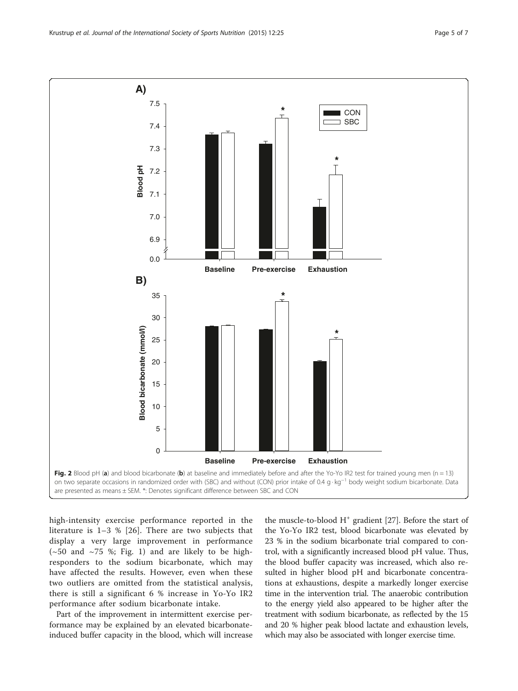<span id="page-4-0"></span>

high-intensity exercise performance reported in the literature is 1–3 % [\[26\]](#page-6-0). There are two subjects that display a very large improvement in performance  $(\sim 50$  and  $\sim 75$  %; Fig. [1](#page-3-0)) and are likely to be highresponders to the sodium bicarbonate, which may have affected the results. However, even when these two outliers are omitted from the statistical analysis, there is still a significant 6 % increase in Yo-Yo IR2 performance after sodium bicarbonate intake.

Part of the improvement in intermittent exercise performance may be explained by an elevated bicarbonateinduced buffer capacity in the blood, which will increase

the muscle-to-blood  $H^+$  gradient [[27\]](#page-6-0). Before the start of the Yo-Yo IR2 test, blood bicarbonate was elevated by 23 % in the sodium bicarbonate trial compared to control, with a significantly increased blood pH value. Thus, the blood buffer capacity was increased, which also resulted in higher blood pH and bicarbonate concentrations at exhaustions, despite a markedly longer exercise time in the intervention trial. The anaerobic contribution to the energy yield also appeared to be higher after the treatment with sodium bicarbonate, as reflected by the 15 and 20 % higher peak blood lactate and exhaustion levels, which may also be associated with longer exercise time.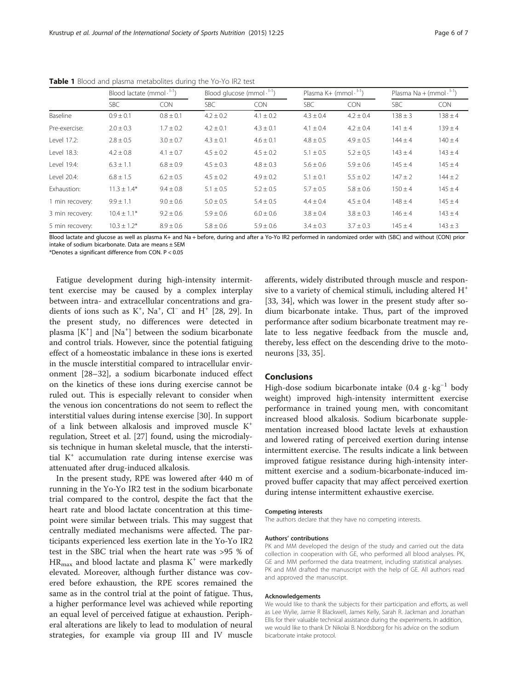|                 | Blood lactate (mmol $\cdot$ $\cdot$ $\cdot$ $\cdot$ $\cdot$ $\cdot$ |               | Blood glucose (mmol $\cdot$ $\cdot$ $\cdot$ $\cdot$ $\cdot$ $\cdot$ |               | Plasma K+ (mmol $\cdot$ <sup>1-1</sup> ) |               | Plasma Na + (mmol $\cdot$ <sup>1-1</sup> ) |             |
|-----------------|---------------------------------------------------------------------|---------------|---------------------------------------------------------------------|---------------|------------------------------------------|---------------|--------------------------------------------|-------------|
|                 | <b>SBC</b>                                                          | <b>CON</b>    | <b>SBC</b>                                                          | <b>CON</b>    | <b>SBC</b>                               | <b>CON</b>    | <b>SBC</b>                                 | <b>CON</b>  |
| Baseline        | $0.9 \pm 0.1$                                                       | $0.8 \pm 0.1$ | $4.2 \pm 0.2$                                                       | $4.1 \pm 0.2$ | $4.3 \pm 0.4$                            | $4.2 \pm 0.4$ | $138 \pm 3$                                | $138 \pm 4$ |
| Pre-exercise:   | $2.0 \pm 0.3$                                                       | $1.7 \pm 0.2$ | $4.2 \pm 0.1$                                                       | $4.3 \pm 0.1$ | $4.1 \pm 0.4$                            | $4.2 \pm 0.4$ | $141 \pm 4$                                | $139 \pm 4$ |
| Level 17.2:     | $2.8 \pm 0.5$                                                       | $3.0 \pm 0.7$ | $4.3 \pm 0.1$                                                       | $4.6 \pm 0.1$ | $4.8 \pm 0.5$                            | $4.9 \pm 0.5$ | $144 \pm 4$                                | $140 \pm 4$ |
| Level 18.3:     | $4.2 \pm 0.8$                                                       | $4.1 \pm 0.7$ | $4.5 \pm 0.2$                                                       | $4.5 \pm 0.2$ | $5.1 \pm 0.5$                            | $5.2 \pm 0.5$ | $143 \pm 4$                                | $143 \pm 4$ |
| Level 19.4:     | $6.3 \pm 1.1$                                                       | $6.8 \pm 0.9$ | $4.5 \pm 0.3$                                                       | $4.8 \pm 0.3$ | $5.6 \pm 0.6$                            | $5.9 \pm 0.6$ | $145 \pm 4$                                | $145 \pm 4$ |
| Level 20.4:     | $6.8 + 1.5$                                                         | $6.2 \pm 0.5$ | $4.5 \pm 0.2$                                                       | $4.9 \pm 0.2$ | $5.1 \pm 0.1$                            | $5.5 \pm 0.2$ | $147 + 2$                                  | $144 + 2$   |
| Exhaustion:     | $11.3 \pm 1.4*$                                                     | $9.4 \pm 0.8$ | $5.1 \pm 0.5$                                                       | $5.2 \pm 0.5$ | $5.7 \pm 0.5$                            | $5.8 \pm 0.6$ | $150 \pm 4$                                | $145 \pm 4$ |
| 1 min recovery: | $9.9 \pm 1.1$                                                       | $9.0 \pm 0.6$ | $5.0 \pm 0.5$                                                       | $5.4 \pm 0.5$ | $4.4 \pm 0.4$                            | $4.5 \pm 0.4$ | $148 + 4$                                  | $145 \pm 4$ |
| 3 min recovery: | $10.4 \pm 1.1*$                                                     | $9.2 \pm 0.6$ | $5.9 \pm 0.6$                                                       | $6.0 \pm 0.6$ | $3.8 \pm 0.4$                            | $3.8 \pm 0.3$ | $146 \pm 4$                                | $143 \pm 4$ |
| 5 min recovery: | $10.3 \pm 1.2^*$                                                    | $8.9 \pm 0.6$ | $5.8 \pm 0.6$                                                       | $5.9 \pm 0.6$ | $3.4 \pm 0.3$                            | $3.7 \pm 0.3$ | $145 + 4$                                  | $143 \pm 3$ |

<span id="page-5-0"></span>Table 1 Blood and plasma metabolites during the Yo-Yo IR2 test

Blood lactate and glucose as well as plasma K+ and Na + before, during and after a Yo-Yo IR2 performed in randomized order with (SBC) and without (CON) prior intake of sodium bicarbonate. Data are means ± SEM

\*Denotes a significant difference from CON. P < 0.05

Fatigue development during high-intensity intermittent exercise may be caused by a complex interplay between intra- and extracellular concentrations and gradients of ions such as  $K^+$ , Na<sup>+</sup>, Cl<sup>−</sup> and H<sup>+</sup> [[28, 29\]](#page-6-0). In the present study, no differences were detected in plasma [K<sup>+</sup>] and [Na<sup>+</sup>] between the sodium bicarbonate and control trials. However, since the potential fatiguing effect of a homeostatic imbalance in these ions is exerted in the muscle interstitial compared to intracellular environment [[28](#page-6-0)–[32](#page-6-0)], a sodium bicarbonate induced effect on the kinetics of these ions during exercise cannot be ruled out. This is especially relevant to consider when the venous ion concentrations do not seem to reflect the interstitial values during intense exercise [\[30](#page-6-0)]. In support of a link between alkalosis and improved muscle K+ regulation, Street et al. [[27\]](#page-6-0) found, using the microdialysis technique in human skeletal muscle, that the interstitial  $K^+$  accumulation rate during intense exercise was attenuated after drug-induced alkalosis.

In the present study, RPE was lowered after 440 m of running in the Yo-Yo IR2 test in the sodium bicarbonate trial compared to the control, despite the fact that the heart rate and blood lactate concentration at this timepoint were similar between trials. This may suggest that centrally mediated mechanisms were affected. The participants experienced less exertion late in the Yo-Yo IR2 test in the SBC trial when the heart rate was >95 % of  $HR_{\text{max}}$  and blood lactate and plasma  $K^+$  were markedly elevated. Moreover, although further distance was covered before exhaustion, the RPE scores remained the same as in the control trial at the point of fatigue. Thus, a higher performance level was achieved while reporting an equal level of perceived fatigue at exhaustion. Peripheral alterations are likely to lead to modulation of neural strategies, for example via group III and IV muscle

afferents, widely distributed through muscle and responsive to a variety of chemical stimuli, including altered H+ [[33, 34](#page-6-0)], which was lower in the present study after sodium bicarbonate intake. Thus, part of the improved performance after sodium bicarbonate treatment may relate to less negative feedback from the muscle and, thereby, less effect on the descending drive to the motoneurons [[33, 35\]](#page-6-0).

## Conclusions

High-dose sodium bicarbonate intake  $(0.4 \text{ g} \cdot \text{kg}^{-1} \text{ body})$ weight) improved high-intensity intermittent exercise performance in trained young men, with concomitant increased blood alkalosis. Sodium bicarbonate supplementation increased blood lactate levels at exhaustion and lowered rating of perceived exertion during intense intermittent exercise. The results indicate a link between improved fatigue resistance during high-intensity intermittent exercise and a sodium-bicarbonate-induced improved buffer capacity that may affect perceived exertion during intense intermittent exhaustive exercise.

#### Competing interests

The authors declare that they have no competing interests.

#### Authors' contributions

PK and MM developed the design of the study and carried out the data collection in cooperation with GE, who performed all blood analyses. PK, GE and MM performed the data treatment, including statistical analyses. PK and MM drafted the manuscript with the help of GE. All authors read and approved the manuscript.

### Acknowledgements

We would like to thank the subjects for their participation and efforts, as well as Lee Wylie, Jamie R Blackwell, James Kelly, Sarah R. Jackman and Jonathan Ellis for their valuable technical assistance during the experiments. In addition, we would like to thank Dr Nikolai B. Nordsborg for his advice on the sodium bicarbonate intake protocol.